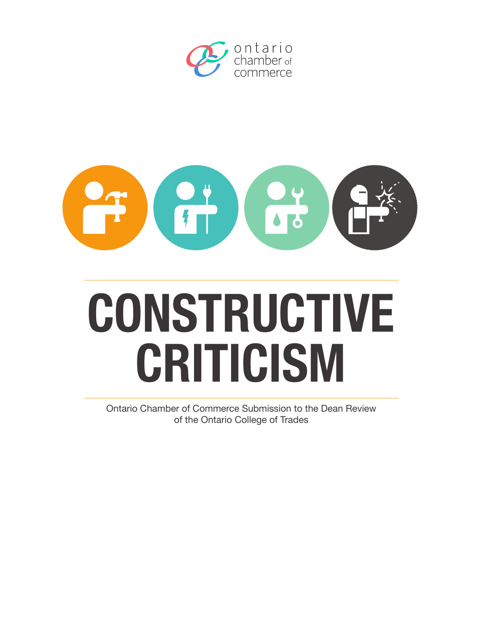



# **CONSTRUCTIVE CRITICISM**

Ontario Chamber of Commerce Submission to the Dean Review of the Ontario College of Trades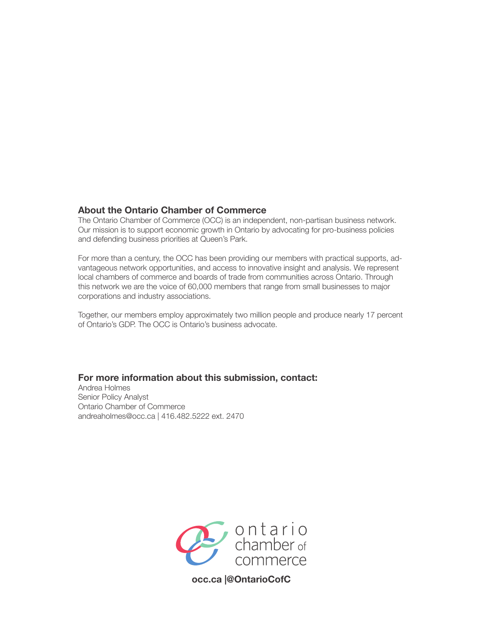## **About the Ontario Chamber of Commerce**

The Ontario Chamber of Commerce (OCC) is an independent, non-partisan business network. Our mission is to support economic growth in Ontario by advocating for pro-business policies and defending business priorities at Queen's Park.

For more than a century, the OCC has been providing our members with practical supports, advantageous network opportunities, and access to innovative insight and analysis. We represent local chambers of commerce and boards of trade from communities across Ontario. Through this network we are the voice of 60,000 members that range from small businesses to major corporations and industry associations.

Together, our members employ approximately two million people and produce nearly 17 percent of Ontario's GDP. The OCC is Ontario's business advocate.

#### **For more information about this submission, contact:**

Andrea Holmes Senior Policy Analyst Ontario Chamber of Commerce andreaholmes@occ.ca | 416.482.5222 ext. 2470



**occ.ca |@OntarioCofC**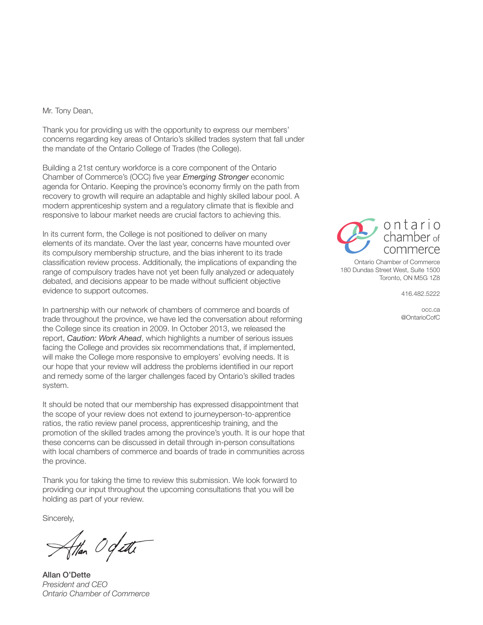#### Mr. Tony Dean,

Thank you for providing us with the opportunity to express our members' concerns regarding key areas of Ontario's skilled trades system that fall under the mandate of the Ontario College of Trades (the College).

Building a 21st century workforce is a core component of the Ontario Chamber of Commerce's (OCC) five year *Emerging Stronger* economic agenda for Ontario. Keeping the province's economy firmly on the path from recovery to growth will require an adaptable and highly skilled labour pool. A modern apprenticeship system and a regulatory climate that is flexible and responsive to labour market needs are crucial factors to achieving this.

In its current form, the College is not positioned to deliver on many elements of its mandate. Over the last year, concerns have mounted over its compulsory membership structure, and the bias inherent to its trade classification review process. Additionally, the implications of expanding the range of compulsory trades have not yet been fully analyzed or adequately debated, and decisions appear to be made without sufficient objective evidence to support outcomes.

In partnership with our network of chambers of commerce and boards of trade throughout the province, we have led the conversation about reforming the College since its creation in 2009. In October 2013, we released the report, *Caution: Work Ahead*, which highlights a number of serious issues facing the College and provides six recommendations that, if implemented, will make the College more responsive to employers' evolving needs. It is our hope that your review will address the problems identified in our report and remedy some of the larger challenges faced by Ontario's skilled trades system.

It should be noted that our membership has expressed disappointment that the scope of your review does not extend to journeyperson-to-apprentice ratios, the ratio review panel process, apprenticeship training, and the promotion of the skilled trades among the province's youth. It is our hope that these concerns can be discussed in detail through in-person consultations with local chambers of commerce and boards of trade in communities across the province.

Thank you for taking the time to review this submission. We look forward to providing our input throughout the upcoming consultations that you will be holding as part of your review.

Sincerely,

Han Ogette

Allan O'Dette *President and CEO Ontario Chamber of Commerce*



Ontario Chamber of Commerce 180 Dundas Street West, Suite 1500 Toronto, ON M5G 1Z8

416.482.5222

occ.ca @OntarioCofC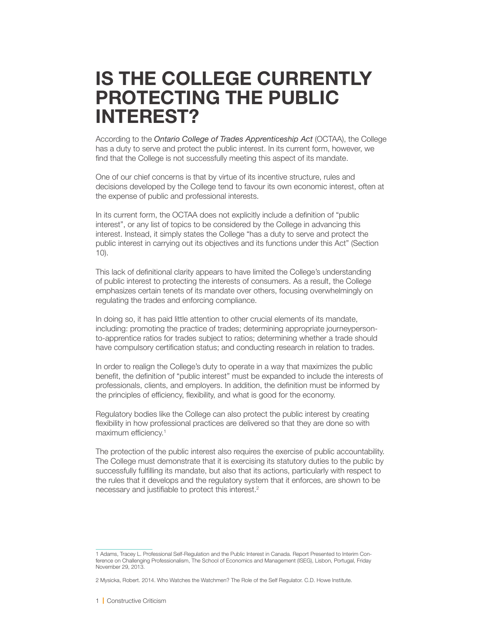## **IS THE COLLEGE CURRENTLY PROTECTING THE PUBLIC INTEREST?**

According to the *Ontario College of Trades Apprenticeship Act* (OCTAA), the College has a duty to serve and protect the public interest. In its current form, however, we find that the College is not successfully meeting this aspect of its mandate.

One of our chief concerns is that by virtue of its incentive structure, rules and decisions developed by the College tend to favour its own economic interest, often at the expense of public and professional interests.

In its current form, the OCTAA does not explicitly include a definition of "public interest", or any list of topics to be considered by the College in advancing this interest. Instead, it simply states the College "has a duty to serve and protect the public interest in carrying out its objectives and its functions under this Act" (Section 10).

This lack of definitional clarity appears to have limited the College's understanding of public interest to protecting the interests of consumers. As a result, the College emphasizes certain tenets of its mandate over others, focusing overwhelmingly on regulating the trades and enforcing compliance.

In doing so, it has paid little attention to other crucial elements of its mandate, including: promoting the practice of trades; determining appropriate journeypersonto-apprentice ratios for trades subject to ratios; determining whether a trade should have compulsory certification status; and conducting research in relation to trades.

In order to realign the College's duty to operate in a way that maximizes the public benefit, the definition of "public interest" must be expanded to include the interests of professionals, clients, and employers. In addition, the definition must be informed by the principles of efficiency, flexibility, and what is good for the economy.

Regulatory bodies like the College can also protect the public interest by creating flexibility in how professional practices are delivered so that they are done so with maximum efficiency.<sup>1</sup>

The protection of the public interest also requires the exercise of public accountability. The College must demonstrate that it is exercising its statutory duties to the public by successfully fulfilling its mandate, but also that its actions, particularly with respect to the rules that it develops and the regulatory system that it enforces, are shown to be necessary and justifiable to protect this interest.<sup>2</sup>

<sup>1</sup> Adams, Tracey L. Professional Self-Regulation and the Public Interest in Canada. Report Presented to Interim Conference on Challenging Professionalism, The School of Economics and Management (ISEG), Lisbon, Portugal, Friday November 29, 2013.

<sup>2</sup> Mysicka, Robert. 2014. Who Watches the Watchmen? The Role of the Self Regulator. C.D. Howe Institute.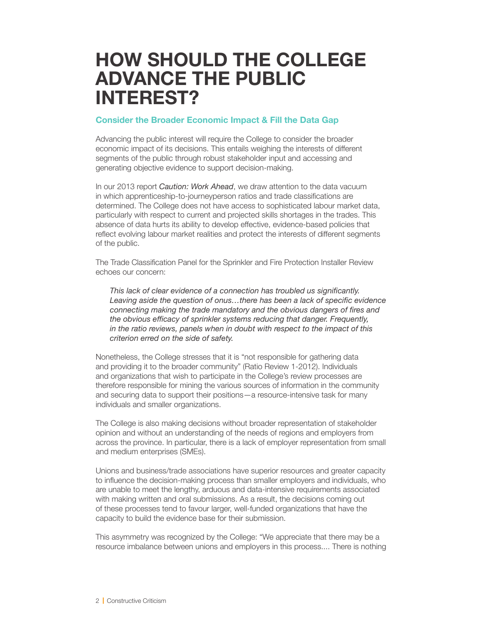## **HOW SHOULD THE COLLEGE ADVANCE THE PUBLIC INTEREST?**

## **Consider the Broader Economic Impact & Fill the Data Gap**

Advancing the public interest will require the College to consider the broader economic impact of its decisions. This entails weighing the interests of different segments of the public through robust stakeholder input and accessing and generating objective evidence to support decision-making.

In our 2013 report *Caution: Work Ahead*, we draw attention to the data vacuum in which apprenticeship-to-journeyperson ratios and trade classifications are determined. The College does not have access to sophisticated labour market data, particularly with respect to current and projected skills shortages in the trades. This absence of data hurts its ability to develop effective, evidence-based policies that reflect evolving labour market realities and protect the interests of different segments of the public.

The Trade Classification Panel for the Sprinkler and Fire Protection Installer Review echoes our concern:

*This lack of clear evidence of a connection has troubled us significantly. Leaving aside the question of onus…there has been a lack of specific evidence connecting making the trade mandatory and the obvious dangers of fires and the obvious efficacy of sprinkler systems reducing that danger. Frequently, in the ratio reviews, panels when in doubt with respect to the impact of this criterion erred on the side of safety.* 

Nonetheless, the College stresses that it is "not responsible for gathering data and providing it to the broader community" (Ratio Review 1-2012). Individuals and organizations that wish to participate in the College's review processes are therefore responsible for mining the various sources of information in the community and securing data to support their positions—a resource-intensive task for many individuals and smaller organizations.

The College is also making decisions without broader representation of stakeholder opinion and without an understanding of the needs of regions and employers from across the province. In particular, there is a lack of employer representation from small and medium enterprises (SMEs).

Unions and business/trade associations have superior resources and greater capacity to influence the decision-making process than smaller employers and individuals, who are unable to meet the lengthy, arduous and data-intensive requirements associated with making written and oral submissions. As a result, the decisions coming out of these processes tend to favour larger, well-funded organizations that have the capacity to build the evidence base for their submission.

This asymmetry was recognized by the College: "We appreciate that there may be a resource imbalance between unions and employers in this process.... There is nothing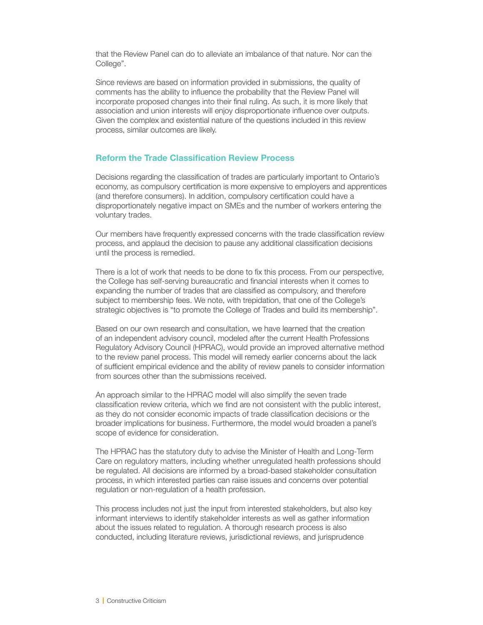that the Review Panel can do to alleviate an imbalance of that nature. Nor can the College".

Since reviews are based on information provided in submissions, the quality of comments has the ability to influence the probability that the Review Panel will incorporate proposed changes into their final ruling. As such, it is more likely that association and union interests will enjoy disproportionate influence over outputs. Given the complex and existential nature of the questions included in this review process, similar outcomes are likely.

## **Reform the Trade Classification Review Process**

Decisions regarding the classification of trades are particularly important to Ontario's economy, as compulsory certification is more expensive to employers and apprentices (and therefore consumers). In addition, compulsory certification could have a disproportionately negative impact on SMEs and the number of workers entering the voluntary trades.

Our members have frequently expressed concerns with the trade classification review process, and applaud the decision to pause any additional classification decisions until the process is remedied.

There is a lot of work that needs to be done to fix this process. From our perspective, the College has self-serving bureaucratic and financial interests when it comes to expanding the number of trades that are classified as compulsory, and therefore subject to membership fees. We note, with trepidation, that one of the College's strategic objectives is "to promote the College of Trades and build its membership".

Based on our own research and consultation, we have learned that the creation of an independent advisory council, modeled after the current Health Professions Regulatory Advisory Council (HPRAC), would provide an improved alternative method to the review panel process. This model will remedy earlier concerns about the lack of sufficient empirical evidence and the ability of review panels to consider information from sources other than the submissions received.

An approach similar to the HPRAC model will also simplify the seven trade classification review criteria, which we find are not consistent with the public interest, as they do not consider economic impacts of trade classification decisions or the broader implications for business. Furthermore, the model would broaden a panel's scope of evidence for consideration.

The HPRAC has the statutory duty to advise the Minister of Health and Long-Term Care on regulatory matters, including whether unregulated health professions should be regulated. All decisions are informed by a broad-based stakeholder consultation process, in which interested parties can raise issues and concerns over potential regulation or non-regulation of a health profession.

This process includes not just the input from interested stakeholders, but also key informant interviews to identify stakeholder interests as well as gather information about the issues related to regulation. A thorough research process is also conducted, including literature reviews, jurisdictional reviews, and jurisprudence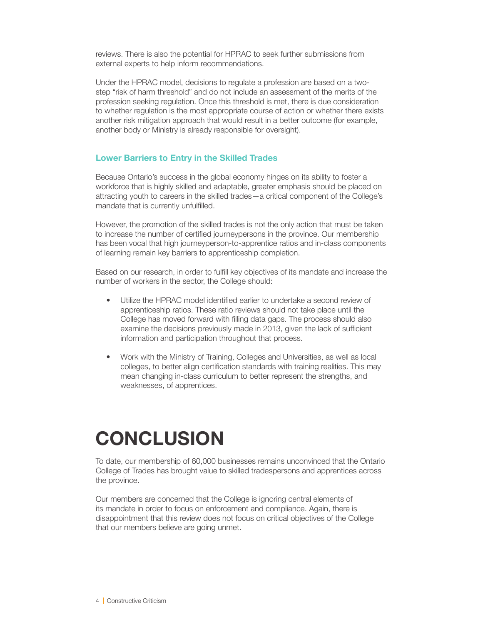reviews. There is also the potential for HPRAC to seek further submissions from external experts to help inform recommendations.

Under the HPRAC model, decisions to regulate a profession are based on a twostep "risk of harm threshold" and do not include an assessment of the merits of the profession seeking regulation. Once this threshold is met, there is due consideration to whether regulation is the most appropriate course of action or whether there exists another risk mitigation approach that would result in a better outcome (for example, another body or Ministry is already responsible for oversight).

## **Lower Barriers to Entry in the Skilled Trades**

Because Ontario's success in the global economy hinges on its ability to foster a workforce that is highly skilled and adaptable, greater emphasis should be placed on attracting youth to careers in the skilled trades—a critical component of the College's mandate that is currently unfulfilled.

However, the promotion of the skilled trades is not the only action that must be taken to increase the number of certified journeypersons in the province. Our membership has been vocal that high journeyperson-to-apprentice ratios and in-class components of learning remain key barriers to apprenticeship completion.

Based on our research, in order to fulfill key objectives of its mandate and increase the number of workers in the sector, the College should:

- Utilize the HPRAC model identified earlier to undertake a second review of apprenticeship ratios. These ratio reviews should not take place until the College has moved forward with filling data gaps. The process should also examine the decisions previously made in 2013, given the lack of sufficient information and participation throughout that process.
- Work with the Ministry of Training, Colleges and Universities, as well as local colleges, to better align certification standards with training realities. This may mean changing in-class curriculum to better represent the strengths, and weaknesses, of apprentices.

## **CONCLUSION**

To date, our membership of 60,000 businesses remains unconvinced that the Ontario College of Trades has brought value to skilled tradespersons and apprentices across the province.

Our members are concerned that the College is ignoring central elements of its mandate in order to focus on enforcement and compliance. Again, there is disappointment that this review does not focus on critical objectives of the College that our members believe are going unmet.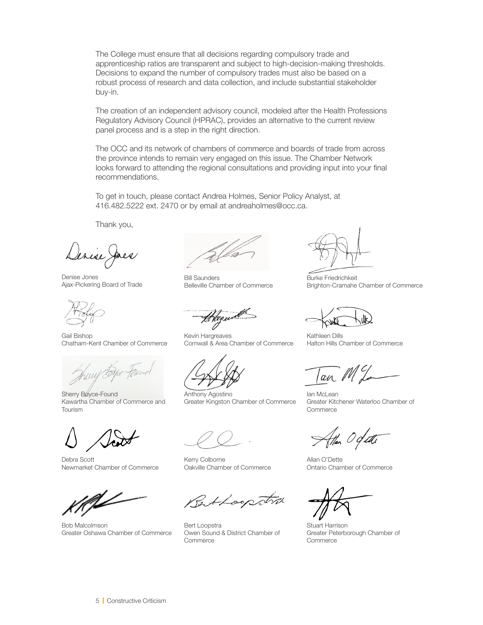The College must ensure that all decisions regarding compulsory trade and apprenticeship ratios are transparent and subject to high-decision-making thresholds. Decisions to expand the number of compulsory trades must also be based on a robust process of research and data collection, and include substantial stakeholder buy-in.

The creation of an independent advisory council, modeled after the Health Professions Regulatory Advisory Council (HPRAC), provides an alternative to the current review panel process and is a step in the right direction.

The OCC and its network of chambers of commerce and boards of trade from across the province intends to remain very engaged on this issue. The Chamber Network looks forward to attending the regional consultations and providing input into your final recommendations.

To get in touch, please contact Andrea Holmes, Senior Policy Analyst, at 416.482.5222 ext. 2470 or by email at andreaholmes@occ.ca.

Thank you,

Denise Jones Ajax-Pickering Board of Trade

Gail Bishop Chatham-Kent Chamber of Commerce

Sherry Boyce-Found Kawartha Chamber of Commerce and Tourism

Debra Scott Newmarket Chamber of Commerce

Bob Malcolmson Greater Oshawa Chamber of Commerce

Bill Saunders Belleville Chamber of Commerce

HNgym

Kevin Hargreaves Cornwall & Area Chamber of Commerce

Anthony Agostino Greater Kingston Chamber of Commerce

Kerry Colborne Oakville Chamber of Commerce

Rettoopstra

Bert Loopstra Owen Sound & District Chamber of Commerce

Burke Friedrichkeit Brighton-Cramahe Chamber of Commerce

Kathleen Dills Halton Hills Chamber of Commerce

an ML

Ian McLean Greater Kitchener Waterloo Chamber of **Commerce** 

Han Og ett

Allan O'Dette Ontario Chamber of Commerce

Stuart Harrison Greater Peterborough Chamber of Commerce